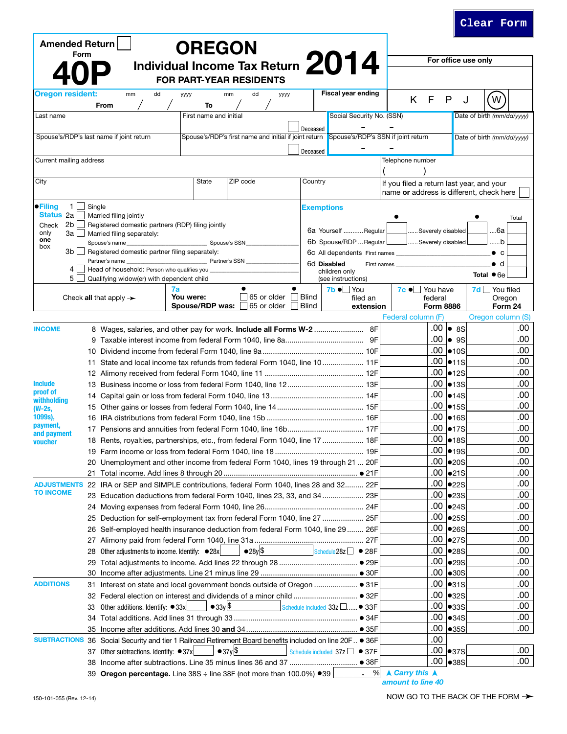| <b>Amended Return</b>                                                            |        |                                                                                                                                                                                                                                                                                                                                                                                                                                                                                            | <b>OREGON</b>          |                                                                                          |                              |                                                                                                       |                                                                                       |                        |                                                                      |     |
|----------------------------------------------------------------------------------|--------|--------------------------------------------------------------------------------------------------------------------------------------------------------------------------------------------------------------------------------------------------------------------------------------------------------------------------------------------------------------------------------------------------------------------------------------------------------------------------------------------|------------------------|------------------------------------------------------------------------------------------|------------------------------|-------------------------------------------------------------------------------------------------------|---------------------------------------------------------------------------------------|------------------------|----------------------------------------------------------------------|-----|
| Form                                                                             |        |                                                                                                                                                                                                                                                                                                                                                                                                                                                                                            |                        | Individual Income Tax Return $2014$                                                      |                              |                                                                                                       |                                                                                       |                        | For office use only                                                  |     |
|                                                                                  |        |                                                                                                                                                                                                                                                                                                                                                                                                                                                                                            |                        | <b>FOR PART-YEAR RESIDENTS</b>                                                           |                              |                                                                                                       |                                                                                       |                        |                                                                      |     |
| Oregon resident:                                                                 |        | mm<br>dd<br><b>From</b>                                                                                                                                                                                                                                                                                                                                                                                                                                                                    | уууу<br>To             | mm<br>dd<br>уууу                                                                         |                              | <b>Fiscal year ending</b>                                                                             | F<br>K                                                                                | P                      | <b>W</b><br>J                                                        |     |
| Last name                                                                        |        |                                                                                                                                                                                                                                                                                                                                                                                                                                                                                            | First name and initial |                                                                                          |                              | Social Security No. (SSN)                                                                             |                                                                                       |                        | Date of birth (mm/dd/yyyy)                                           |     |
|                                                                                  |        | Spouse's/RDP's last name if joint return                                                                                                                                                                                                                                                                                                                                                                                                                                                   |                        | Spouse's/RDP's first name and initial if joint return Spouse's/RDP's SSN if joint return | Deceased                     |                                                                                                       |                                                                                       |                        | Date of birth (mm/dd/yyyy)                                           |     |
|                                                                                  |        |                                                                                                                                                                                                                                                                                                                                                                                                                                                                                            |                        |                                                                                          | Deceased                     |                                                                                                       |                                                                                       |                        |                                                                      |     |
| Current mailing address                                                          |        |                                                                                                                                                                                                                                                                                                                                                                                                                                                                                            |                        |                                                                                          |                              |                                                                                                       | Telephone number                                                                      |                        |                                                                      |     |
| City                                                                             |        |                                                                                                                                                                                                                                                                                                                                                                                                                                                                                            | State                  | ZIP code                                                                                 | Country                      |                                                                                                       | If you filed a return last year, and your<br>name or address is different, check here |                        |                                                                      |     |
| ● Filing<br>1<br>Status 2a<br>2b<br>Check<br>only<br>За<br>one<br>box<br>3b<br>4 | Single | Married filing jointly<br>Registered domestic partners (RDP) filing jointly<br>Married filing separately:<br>Spouse's name<br>Registered domestic partner filing separately:<br>Partner's name<br>Head of household: Person who qualifies you                                                                                                                                                                                                                                              |                        | Spouse's SSN<br>Partner's SSN                                                            |                              | <b>Exemptions</b><br>6a Yourself  Regular<br>6b Spouse/RDP  Regular L<br>6d Disabled<br>children only | Severely disabled<br>Severely disabled<br>First names                                 |                        | Total<br>6а<br>b<br>$\bullet$ c<br>$\bullet$ d<br>Total $\bullet$ 6e |     |
| 5                                                                                |        | Qualifying widow(er) with dependent child<br>7a                                                                                                                                                                                                                                                                                                                                                                                                                                            |                        |                                                                                          |                              | (see instructions)<br>7 <b>b</b> lyou                                                                 | $7c \bullet$ You have                                                                 |                        | 7d ■ You filed                                                       |     |
|                                                                                  |        | Check all that apply $\rightarrow$                                                                                                                                                                                                                                                                                                                                                                                                                                                         | You were:              | 65 or older<br>65 or older                                                               | <b>Blind</b><br>$\mathbf{L}$ | filed an                                                                                              | federal                                                                               |                        | Oregon                                                               |     |
|                                                                                  |        |                                                                                                                                                                                                                                                                                                                                                                                                                                                                                            | Spouse/RDP was:        |                                                                                          | Blind                        | extension                                                                                             | <b>Form 8886</b><br>Federal column (F)                                                |                        | Form 24<br>Oregon column (S)                                         |     |
| <b>INCOME</b>                                                                    |        | 8 Wages, salaries, and other pay for work. Include all Forms W-2 8F                                                                                                                                                                                                                                                                                                                                                                                                                        |                        |                                                                                          |                              |                                                                                                       |                                                                                       | $.00 \diamond$ 8S      |                                                                      | .00 |
|                                                                                  |        |                                                                                                                                                                                                                                                                                                                                                                                                                                                                                            |                        |                                                                                          |                              |                                                                                                       | .00                                                                                   | $\bullet$ 9S           |                                                                      | .00 |
|                                                                                  |        |                                                                                                                                                                                                                                                                                                                                                                                                                                                                                            |                        |                                                                                          |                              |                                                                                                       | .00                                                                                   | •10S                   |                                                                      | .00 |
|                                                                                  |        | 11 State and local income tax refunds from federal Form 1040, line 10 11F                                                                                                                                                                                                                                                                                                                                                                                                                  |                        |                                                                                          |                              |                                                                                                       | .00                                                                                   | •11S                   |                                                                      | .00 |
|                                                                                  |        |                                                                                                                                                                                                                                                                                                                                                                                                                                                                                            |                        |                                                                                          |                              |                                                                                                       | .00                                                                                   | •12S                   |                                                                      | .00 |
| <b>Include</b>                                                                   |        |                                                                                                                                                                                                                                                                                                                                                                                                                                                                                            |                        |                                                                                          |                              |                                                                                                       | .00                                                                                   | •13S                   |                                                                      | .00 |
| proof of                                                                         |        |                                                                                                                                                                                                                                                                                                                                                                                                                                                                                            |                        |                                                                                          |                              |                                                                                                       | .00                                                                                   | •14S                   |                                                                      | .00 |
| withholding<br>(W-2s,                                                            |        |                                                                                                                                                                                                                                                                                                                                                                                                                                                                                            |                        |                                                                                          |                              |                                                                                                       | .00                                                                                   | •15S                   |                                                                      | .00 |
| 1099s),                                                                          |        |                                                                                                                                                                                                                                                                                                                                                                                                                                                                                            |                        |                                                                                          |                              |                                                                                                       | .00                                                                                   | •16S                   |                                                                      | .00 |
| payment,                                                                         |        |                                                                                                                                                                                                                                                                                                                                                                                                                                                                                            |                        |                                                                                          |                              |                                                                                                       | .00                                                                                   | •17S                   |                                                                      | .00 |
| and payment<br><b>voucher</b>                                                    |        | 18 Rents, royalties, partnerships, etc., from federal Form 1040, line 17  18F                                                                                                                                                                                                                                                                                                                                                                                                              |                        |                                                                                          |                              |                                                                                                       | .00                                                                                   | •18S                   |                                                                      | .00 |
|                                                                                  |        |                                                                                                                                                                                                                                                                                                                                                                                                                                                                                            |                        |                                                                                          |                              |                                                                                                       | .00                                                                                   | •19S                   |                                                                      | .00 |
|                                                                                  |        | 20 Unemployment and other income from federal Form 1040, lines 19 through 21  20F                                                                                                                                                                                                                                                                                                                                                                                                          |                        |                                                                                          |                              |                                                                                                       |                                                                                       | $.00$ $\bullet$ 20S    |                                                                      | .00 |
|                                                                                  |        |                                                                                                                                                                                                                                                                                                                                                                                                                                                                                            |                        |                                                                                          |                              |                                                                                                       |                                                                                       | $.00$ $\bullet$ 21S    |                                                                      | .00 |
|                                                                                  |        | ADJUSTMENTS 22 IRA or SEP and SIMPLE contributions, federal Form 1040, lines 28 and 32 22F                                                                                                                                                                                                                                                                                                                                                                                                 |                        |                                                                                          |                              |                                                                                                       |                                                                                       | $.00$ $\bullet$ 22S    |                                                                      | .00 |
| <b>TO INCOME</b>                                                                 |        | 23 Education deductions from federal Form 1040, lines 23, 33, and 34  23F                                                                                                                                                                                                                                                                                                                                                                                                                  |                        |                                                                                          |                              |                                                                                                       |                                                                                       | $.00$ $\bullet$ 23S    |                                                                      | .00 |
|                                                                                  |        |                                                                                                                                                                                                                                                                                                                                                                                                                                                                                            |                        |                                                                                          |                              |                                                                                                       |                                                                                       | $.00 \,  o24S$         |                                                                      | .00 |
|                                                                                  |        | 25 Deduction for self-employment tax from federal Form 1040, line 27  25F                                                                                                                                                                                                                                                                                                                                                                                                                  |                        |                                                                                          |                              |                                                                                                       |                                                                                       | $.00$ $\bullet$ 25S    |                                                                      | .00 |
|                                                                                  |        | 26 Self-employed health insurance deduction from federal Form 1040, line 29  26F                                                                                                                                                                                                                                                                                                                                                                                                           |                        |                                                                                          |                              |                                                                                                       |                                                                                       | $.00$ $\bullet$ 26S    |                                                                      | .00 |
|                                                                                  |        |                                                                                                                                                                                                                                                                                                                                                                                                                                                                                            |                        |                                                                                          |                              |                                                                                                       | .00                                                                                   | •27S                   |                                                                      | .00 |
|                                                                                  | 28     | Other adjustments to income. Identify: ●28x                                                                                                                                                                                                                                                                                                                                                                                                                                                |                        | $\bullet$ 28y $\$\$                                                                      |                              | Schedule $28z$ $\Box$ $\bullet$ $28F$                                                                 |                                                                                       | .00  ●28S              |                                                                      | .00 |
|                                                                                  |        |                                                                                                                                                                                                                                                                                                                                                                                                                                                                                            |                        |                                                                                          |                              |                                                                                                       |                                                                                       | $.00$ $ •29S$          |                                                                      | .00 |
|                                                                                  |        |                                                                                                                                                                                                                                                                                                                                                                                                                                                                                            |                        |                                                                                          |                              |                                                                                                       | .00                                                                                   | $\bullet$ 30S          |                                                                      | .00 |
| <b>ADDITIONS</b>                                                                 |        |                                                                                                                                                                                                                                                                                                                                                                                                                                                                                            |                        |                                                                                          |                              |                                                                                                       | .00                                                                                   | $\bullet$ 31S          |                                                                      | .00 |
|                                                                                  |        | 32 Federal election on interest and dividends of a minor child  ● 32F                                                                                                                                                                                                                                                                                                                                                                                                                      |                        |                                                                                          |                              |                                                                                                       |                                                                                       | $.00$ $\bullet$ 32S    |                                                                      | .00 |
|                                                                                  | 33     | Other additions. Identify: $\bullet$ 33x                                                                                                                                                                                                                                                                                                                                                                                                                                                   | $\bullet$ 33y \$       |                                                                                          |                              | Schedule included 33z □● 33F                                                                          |                                                                                       | $.00$ $\bullet$ 33S    |                                                                      | .00 |
|                                                                                  |        |                                                                                                                                                                                                                                                                                                                                                                                                                                                                                            |                        |                                                                                          |                              |                                                                                                       |                                                                                       | $.00$ $\bullet$ 34S    |                                                                      | .00 |
|                                                                                  |        |                                                                                                                                                                                                                                                                                                                                                                                                                                                                                            |                        |                                                                                          |                              |                                                                                                       | .00                                                                                   | $\bullet$ 35S          |                                                                      | .00 |
|                                                                                  |        | SUBTRACTIONS 36 Social Security and tier 1 Railroad Retirement Board benefits included on line 20F ● 36F                                                                                                                                                                                                                                                                                                                                                                                   |                        |                                                                                          |                              |                                                                                                       | .00                                                                                   |                        |                                                                      |     |
|                                                                                  |        | 37 Other subtractions. Identify: ● 37x                                                                                                                                                                                                                                                                                                                                                                                                                                                     |                        | $\bullet$ 37y \$                                                                         |                              | Schedule included 37z □ ● 37F                                                                         |                                                                                       | $.00$ $ •37S $         |                                                                      | .00 |
|                                                                                  |        |                                                                                                                                                                                                                                                                                                                                                                                                                                                                                            |                        |                                                                                          |                              |                                                                                                       |                                                                                       | $.00$ $ _{\bullet}38S$ |                                                                      | .00 |
|                                                                                  |        | 39 Oregon percentage. Line 38S $\div$ line 38F (not more than 100.0%) $\bullet$ 39 $\boxed{\underline{\hspace{1cm}}\underline{\hspace{1cm}}\underline{\hspace{1cm}}\underline{\hspace{1cm}}\underline{\hspace{1cm}}\underline{\hspace{1cm}}\underline{\hspace{1cm}}\underline{\hspace{1cm}}\underline{\hspace{1cm}}\underline{\hspace{1cm}}\underline{\hspace{1cm}}\underline{\hspace{1cm}}\underline{\hspace{1cm}}\underline{\hspace{1cm}}\underline{\hspace{1cm}}\underline{\hspace{1cm$ |                        |                                                                                          |                              |                                                                                                       | <b>A Carry this A</b>                                                                 |                        |                                                                      |     |

➤*Carry this* ➤ *amount to line 40* **Clear Form**